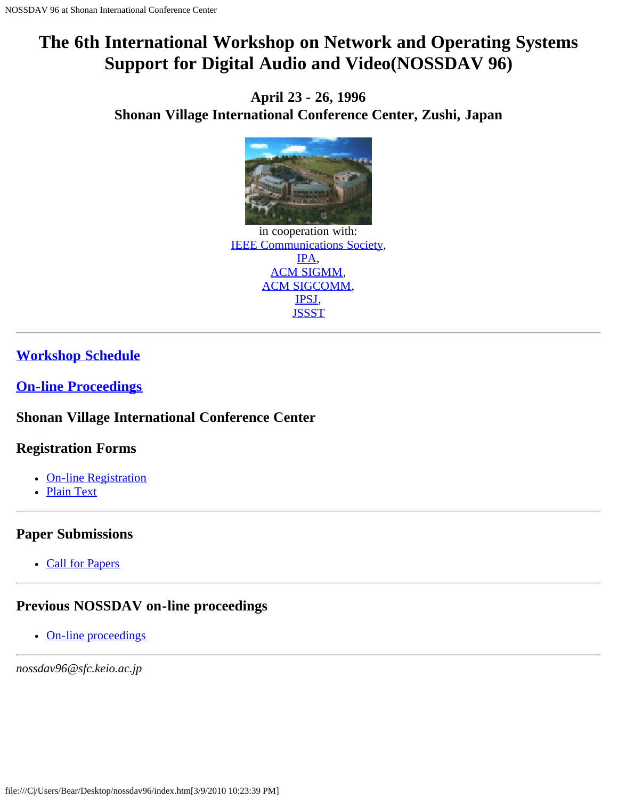# <span id="page-0-0"></span>**The 6th International Workshop on Network and Operating Systems Support for Digital Audio and Video(NOSSDAV 96)**

**April 23 - 26, 1996 Shonan Village International Conference Center, Zushi, Japan**



in cooperation with: [IEEE Communications Society,](javascript:if(confirm() [IPA,](javascript:if(confirm() [ACM SIGMM](javascript:if(confirm(), [ACM SIGCOMM,](javascript:if(confirm() [IPSJ,](javascript:if(confirm() **[JSSST](javascript:if(confirm()** 

# **[Workshop Schedule](#page-1-0)**

**[On-line Proceedings](javascript:if(confirm()**

## **Shonan Village International Conference Center**

## **Registration Forms**

- [On-line Registration](#page-7-0)
- [Plain Text](#page-10-0)

## **Paper Submissions**

• [Call for Papers](#page-15-0)

# **Previous NOSSDAV on-line proceedings**

• [On-line proceedings](javascript:if(confirm()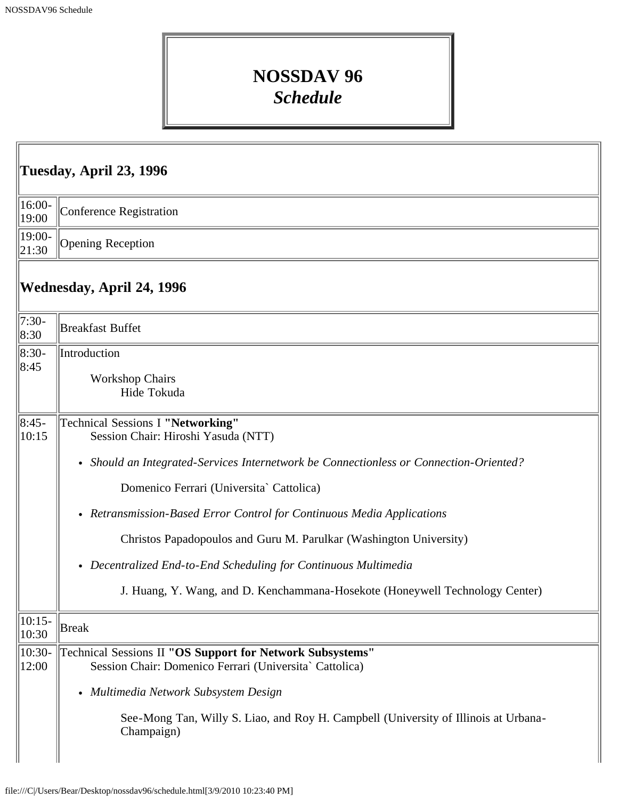# **NOSSDAV 96** *Schedule*

<span id="page-1-0"></span>

| Tuesday, April 23, 1996 |                                                                                                                                                                                                                                                                                                                                                                                                                                                                                                                   |  |
|-------------------------|-------------------------------------------------------------------------------------------------------------------------------------------------------------------------------------------------------------------------------------------------------------------------------------------------------------------------------------------------------------------------------------------------------------------------------------------------------------------------------------------------------------------|--|
| 16:00-<br>19:00         | Conference Registration                                                                                                                                                                                                                                                                                                                                                                                                                                                                                           |  |
| 19:00-<br>21:30         | <b>Opening Reception</b>                                                                                                                                                                                                                                                                                                                                                                                                                                                                                          |  |
|                         | Wednesday, April 24, 1996                                                                                                                                                                                                                                                                                                                                                                                                                                                                                         |  |
| $7:30-$<br>8:30         | <b>Breakfast Buffet</b>                                                                                                                                                                                                                                                                                                                                                                                                                                                                                           |  |
| $ 8:30-$<br>8:45        | Introduction<br><b>Workshop Chairs</b><br>Hide Tokuda                                                                                                                                                                                                                                                                                                                                                                                                                                                             |  |
| $ 8:45-$<br>10:15       | Technical Sessions I "Networking"<br>Session Chair: Hiroshi Yasuda (NTT)<br>• Should an Integrated-Services Internetwork be Connectionless or Connection-Oriented?<br>Domenico Ferrari (Universita` Cattolica)<br>• Retransmission-Based Error Control for Continuous Media Applications<br>Christos Papadopoulos and Guru M. Parulkar (Washington University)<br>• Decentralized End-to-End Scheduling for Continuous Multimedia<br>J. Huang, Y. Wang, and D. Kenchammana-Hosekote (Honeywell Technology Center) |  |
| $10:15-$<br>10:30       | <b>Break</b>                                                                                                                                                                                                                                                                                                                                                                                                                                                                                                      |  |
| $10:30-$<br>12:00       | Technical Sessions II "OS Support for Network Subsystems"<br>Session Chair: Domenico Ferrari (Universita` Cattolica)<br>• Multimedia Network Subsystem Design<br>See-Mong Tan, Willy S. Liao, and Roy H. Campbell (University of Illinois at Urbana-<br>Champaign)                                                                                                                                                                                                                                                |  |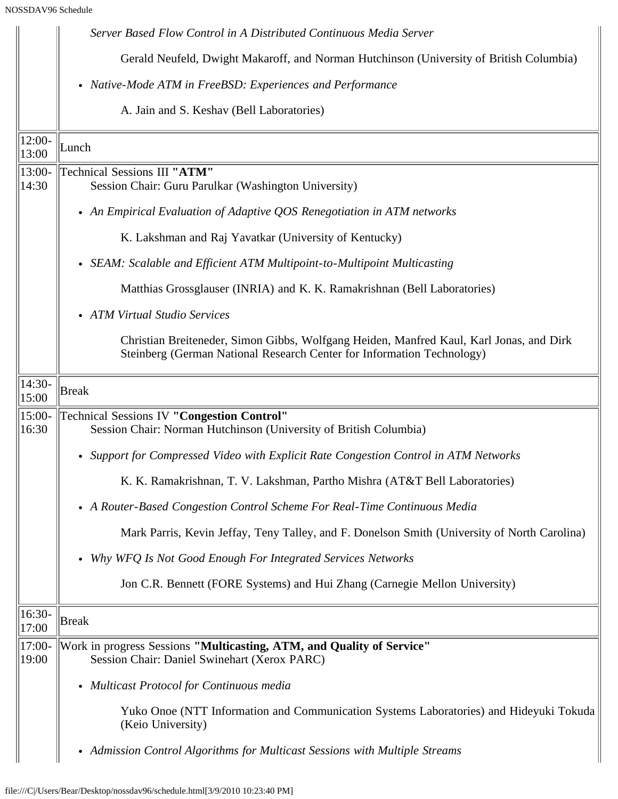|                   | Server Based Flow Control in A Distributed Continuous Media Server                                                                                                |
|-------------------|-------------------------------------------------------------------------------------------------------------------------------------------------------------------|
|                   | Gerald Neufeld, Dwight Makaroff, and Norman Hutchinson (University of British Columbia)                                                                           |
|                   | • Native-Mode ATM in FreeBSD: Experiences and Performance                                                                                                         |
|                   | A. Jain and S. Keshav (Bell Laboratories)                                                                                                                         |
| $12:00-$<br>13:00 | Lunch                                                                                                                                                             |
| $13:00-$<br>14:30 | Technical Sessions III "ATM"<br>Session Chair: Guru Parulkar (Washington University)                                                                              |
|                   | • An Empirical Evaluation of Adaptive QOS Renegotiation in ATM networks                                                                                           |
|                   | K. Lakshman and Raj Yavatkar (University of Kentucky)                                                                                                             |
|                   | • SEAM: Scalable and Efficient ATM Multipoint-to-Multipoint Multicasting                                                                                          |
|                   | Matthias Grossglauser (INRIA) and K. K. Ramakrishnan (Bell Laboratories)                                                                                          |
|                   | • ATM Virtual Studio Services                                                                                                                                     |
|                   | Christian Breiteneder, Simon Gibbs, Wolfgang Heiden, Manfred Kaul, Karl Jonas, and Dirk<br>Steinberg (German National Research Center for Information Technology) |
| $14:30-$<br>15:00 | <b>Break</b>                                                                                                                                                      |
| 15:00-<br>16:30   | <b>Technical Sessions IV "Congestion Control"</b><br>Session Chair: Norman Hutchinson (University of British Columbia)                                            |
|                   | • Support for Compressed Video with Explicit Rate Congestion Control in ATM Networks                                                                              |
|                   | K. K. Ramakrishnan, T. V. Lakshman, Partho Mishra (AT&T Bell Laboratories)                                                                                        |
|                   | • A Router-Based Congestion Control Scheme For Real-Time Continuous Media                                                                                         |
|                   | Mark Parris, Kevin Jeffay, Teny Talley, and F. Donelson Smith (University of North Carolina)                                                                      |
|                   | Why WFQ Is Not Good Enough For Integrated Services Networks                                                                                                       |
|                   | Jon C.R. Bennett (FORE Systems) and Hui Zhang (Carnegie Mellon University)                                                                                        |
| 16:30-<br>17:00   | <b>Break</b>                                                                                                                                                      |
| $17:00-$<br>19:00 | Work in progress Sessions "Multicasting, ATM, and Quality of Service"<br>Session Chair: Daniel Swinehart (Xerox PARC)                                             |
|                   | • Multicast Protocol for Continuous media                                                                                                                         |
|                   | Yuko Onoe (NTT Information and Communication Systems Laboratories) and Hideyuki Tokuda<br>(Keio University)                                                       |
|                   | • Admission Control Algorithms for Multicast Sessions with Multiple Streams                                                                                       |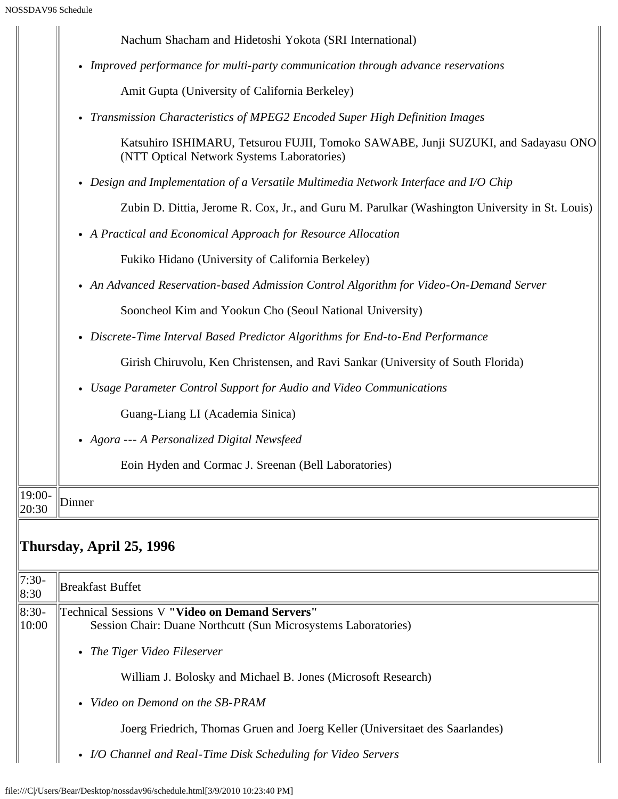$\mathbf{H}$ 

|                 | Nachum Shacham and Hidetoshi Yokota (SRI International)                                                                         |
|-----------------|---------------------------------------------------------------------------------------------------------------------------------|
|                 | • Improved performance for multi-party communication through advance reservations                                               |
|                 | Amit Gupta (University of California Berkeley)                                                                                  |
|                 | • Transmission Characteristics of MPEG2 Encoded Super High Definition Images                                                    |
|                 | Katsuhiro ISHIMARU, Tetsurou FUJII, Tomoko SAWABE, Junji SUZUKI, and Sadayasu ONO<br>(NTT Optical Network Systems Laboratories) |
|                 | • Design and Implementation of a Versatile Multimedia Network Interface and I/O Chip                                            |
|                 | Zubin D. Dittia, Jerome R. Cox, Jr., and Guru M. Parulkar (Washington University in St. Louis)                                  |
|                 | • A Practical and Economical Approach for Resource Allocation                                                                   |
|                 | Fukiko Hidano (University of California Berkeley)                                                                               |
|                 | • An Advanced Reservation-based Admission Control Algorithm for Video-On-Demand Server                                          |
|                 | Sooncheol Kim and Yookun Cho (Seoul National University)                                                                        |
|                 | • Discrete-Time Interval Based Predictor Algorithms for End-to-End Performance                                                  |
|                 | Girish Chiruvolu, Ken Christensen, and Ravi Sankar (University of South Florida)                                                |
|                 | • Usage Parameter Control Support for Audio and Video Communications                                                            |
|                 | Guang-Liang LI (Academia Sinica)                                                                                                |
|                 | • Agora --- A Personalized Digital Newsfeed                                                                                     |
|                 | Eoin Hyden and Cormac J. Sreenan (Bell Laboratories)                                                                            |
| 19:00-<br>20:30 | Dinner                                                                                                                          |
|                 | Thursday, April 25, 1996                                                                                                        |
| $7:30-$<br>8:30 | <b>Breakfast Buffet</b>                                                                                                         |
| 8:30-<br>10:00  | <b>Technical Sessions V "Video on Demand Servers"</b><br>Session Chair: Duane Northcutt (Sun Microsystems Laboratories)         |
|                 | • The Tiger Video Fileserver                                                                                                    |
|                 | William J. Bolosky and Michael B. Jones (Microsoft Research)                                                                    |
|                 | Video on Demond on the SB-PRAM                                                                                                  |
|                 | Joerg Friedrich, Thomas Gruen and Joerg Keller (Universitaet des Saarlandes)                                                    |
|                 | • I/O Channel and Real-Time Disk Scheduling for Video Servers                                                                   |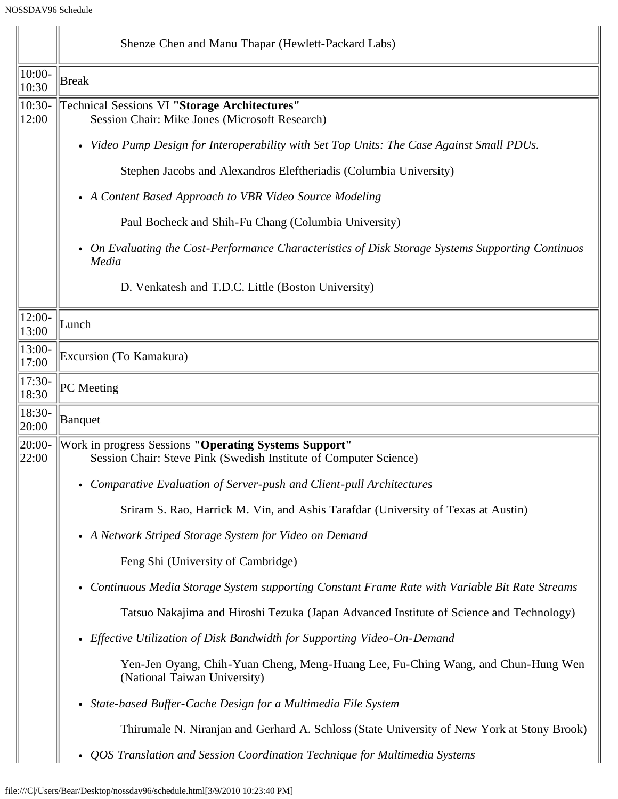|                     | Shenze Chen and Manu Thapar (Hewlett-Packard Labs)                                                                         |  |  |  |
|---------------------|----------------------------------------------------------------------------------------------------------------------------|--|--|--|
| 10:00-<br>10:30     | <b>Break</b>                                                                                                               |  |  |  |
| 10:30-<br>12:00     | <b>Technical Sessions VI "Storage Architectures"</b><br>Session Chair: Mike Jones (Microsoft Research)                     |  |  |  |
|                     | • Video Pump Design for Interoperability with Set Top Units: The Case Against Small PDUs.                                  |  |  |  |
|                     | Stephen Jacobs and Alexandros Eleftheriadis (Columbia University)                                                          |  |  |  |
|                     | • A Content Based Approach to VBR Video Source Modeling                                                                    |  |  |  |
|                     | Paul Bocheck and Shih-Fu Chang (Columbia University)                                                                       |  |  |  |
|                     | • On Evaluating the Cost-Performance Characteristics of Disk Storage Systems Supporting Continuos<br>Media                 |  |  |  |
|                     | D. Venkatesh and T.D.C. Little (Boston University)                                                                         |  |  |  |
| $12:00-$<br>13:00   | Lunch                                                                                                                      |  |  |  |
| 13:00-<br>17:00     | Excursion (To Kamakura)                                                                                                    |  |  |  |
| $ 17:30-$<br>18:30  | PC Meeting                                                                                                                 |  |  |  |
| 18:30-<br>20:00     | Banquet                                                                                                                    |  |  |  |
| $ 20:00-$<br> 22:00 | Work in progress Sessions "Operating Systems Support"<br>Session Chair: Steve Pink (Swedish Institute of Computer Science) |  |  |  |
|                     | • Comparative Evaluation of Server-push and Client-pull Architectures                                                      |  |  |  |
|                     | Sriram S. Rao, Harrick M. Vin, and Ashis Tarafdar (University of Texas at Austin)                                          |  |  |  |
|                     | • A Network Striped Storage System for Video on Demand                                                                     |  |  |  |
|                     | Feng Shi (University of Cambridge)                                                                                         |  |  |  |
|                     | • Continuous Media Storage System supporting Constant Frame Rate with Variable Bit Rate Streams                            |  |  |  |
|                     | Tatsuo Nakajima and Hiroshi Tezuka (Japan Advanced Institute of Science and Technology)                                    |  |  |  |
|                     | • Effective Utilization of Disk Bandwidth for Supporting Video-On-Demand                                                   |  |  |  |
|                     | Yen-Jen Oyang, Chih-Yuan Cheng, Meng-Huang Lee, Fu-Ching Wang, and Chun-Hung Wen<br>(National Taiwan University)           |  |  |  |
|                     | • State-based Buffer-Cache Design for a Multimedia File System                                                             |  |  |  |
|                     | Thirumale N. Niranjan and Gerhard A. Schloss (State University of New York at Stony Brook)                                 |  |  |  |
|                     | QOS Translation and Session Coordination Technique for Multimedia Systems<br>$\bullet$                                     |  |  |  |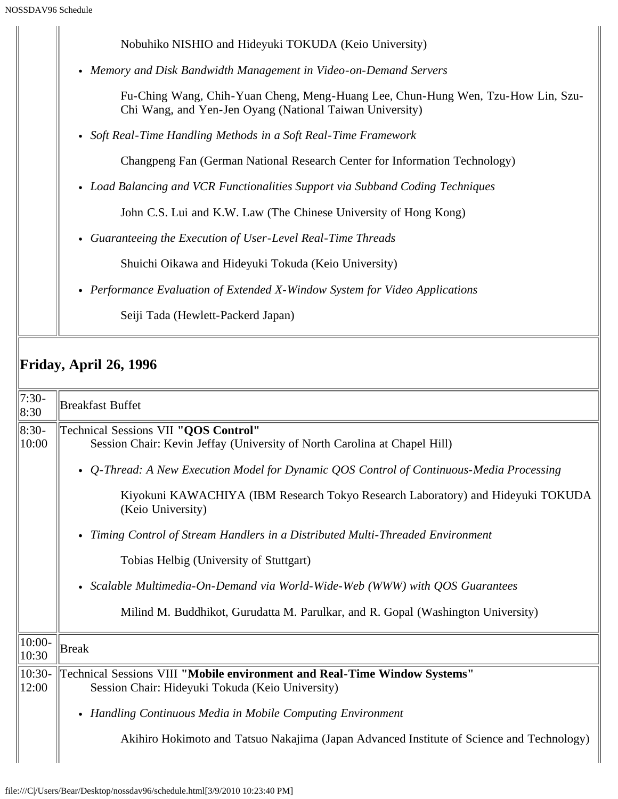| SSDAV96 Schedule |                                                                                                                                              |
|------------------|----------------------------------------------------------------------------------------------------------------------------------------------|
|                  | Nobuhiko NISHIO and Hideyuki TOKUDA (Keio University)                                                                                        |
|                  | Memory and Disk Bandwidth Management in Video-on-Demand Servers<br>$\bullet$                                                                 |
|                  | Fu-Ching Wang, Chih-Yuan Cheng, Meng-Huang Lee, Chun-Hung Wen, Tzu-How Lin, Szu-<br>Chi Wang, and Yen-Jen Oyang (National Taiwan University) |
|                  | • Soft Real-Time Handling Methods in a Soft Real-Time Framework                                                                              |
|                  | Changpeng Fan (German National Research Center for Information Technology)                                                                   |
|                  | • Load Balancing and VCR Functionalities Support via Subband Coding Techniques                                                               |
|                  | John C.S. Lui and K.W. Law (The Chinese University of Hong Kong)                                                                             |
|                  | Guaranteeing the Execution of User-Level Real-Time Threads<br>$\bullet$                                                                      |
|                  | Shuichi Oikawa and Hideyuki Tokuda (Keio University)                                                                                         |
|                  | • Performance Evaluation of Extended X-Window System for Video Applications                                                                  |
|                  | Seiji Tada (Hewlett-Packerd Japan)                                                                                                           |
|                  | <b>Friday, April 26, 1996</b>                                                                                                                |
| $7:30-$<br>8:30  | <b>Breakfast Buffet</b>                                                                                                                      |
| $8:30-$<br>10:00 | Technical Sessions VII "QOS Control"<br>Session Chair: Kevin Jeffay (University of North Carolina at Chapel Hill)                            |
|                  | Q-Thread: A New Execution Model for Dynamic QOS Control of Continuous-Media Processing<br>$\bullet$                                          |
|                  | Kiyokuni KAWACHIYA (IBM Research Tokyo Research Laboratory) and Hideyuki TOKUDA<br>(Keio University)                                         |
|                  | Timing Control of Stream Handlers in a Distributed Multi-Threaded Environment<br>$\bullet$                                                   |
|                  | Tobias Helbig (University of Stuttgart)                                                                                                      |

*Scalable Multimedia-On-Demand via World-Wide-Web (WWW) with QOS Guarantees*

Milind M. Buddhikot, Gurudatta M. Parulkar, and R. Gopal (Washington University)

| $\parallel$ 10:00-<br> 10:30 | Break                                                                                                                                                    |
|------------------------------|----------------------------------------------------------------------------------------------------------------------------------------------------------|
| $\parallel$ 10:30-           | Technical Sessions VIII "Mobile environment and Real-Time Window Systems"                                                                                |
| 12:00                        | Session Chair: Hideyuki Tokuda (Keio University)                                                                                                         |
|                              | • Handling Continuous Media in Mobile Computing Environment<br>Akihiro Hokimoto and Tatsuo Nakajima (Japan Advanced Institute of Science and Technology) |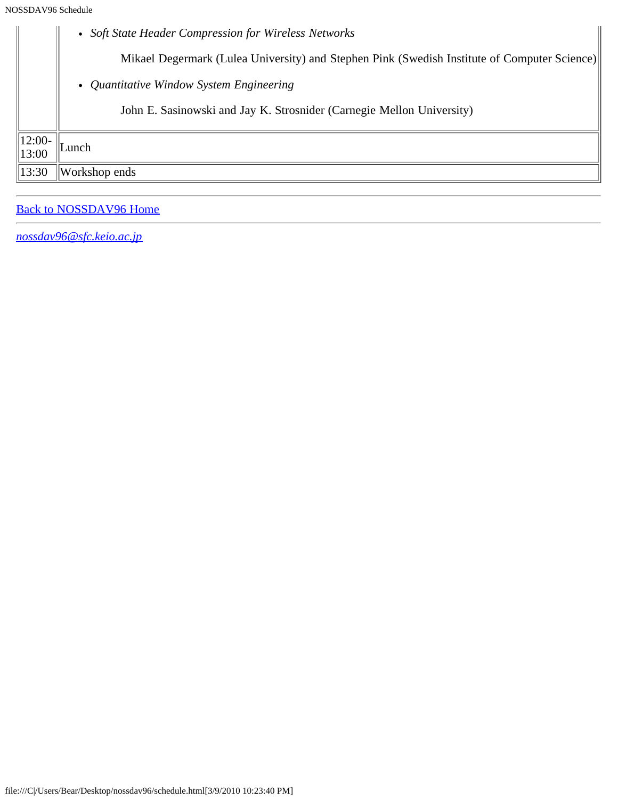|                    | • Soft State Header Compression for Wireless Networks                                        |
|--------------------|----------------------------------------------------------------------------------------------|
|                    | Mikael Degermark (Lulea University) and Stephen Pink (Swedish Institute of Computer Science) |
|                    | • Quantitative Window System Engineering                                                     |
|                    | John E. Sasinowski and Jay K. Strosnider (Carnegie Mellon University)                        |
| $ 12:00-$<br>13:00 | Lunch                                                                                        |
| 13:30              | Workshop ends                                                                                |
|                    |                                                                                              |

### [Back to NOSSDAV96 Home](#page-0-0)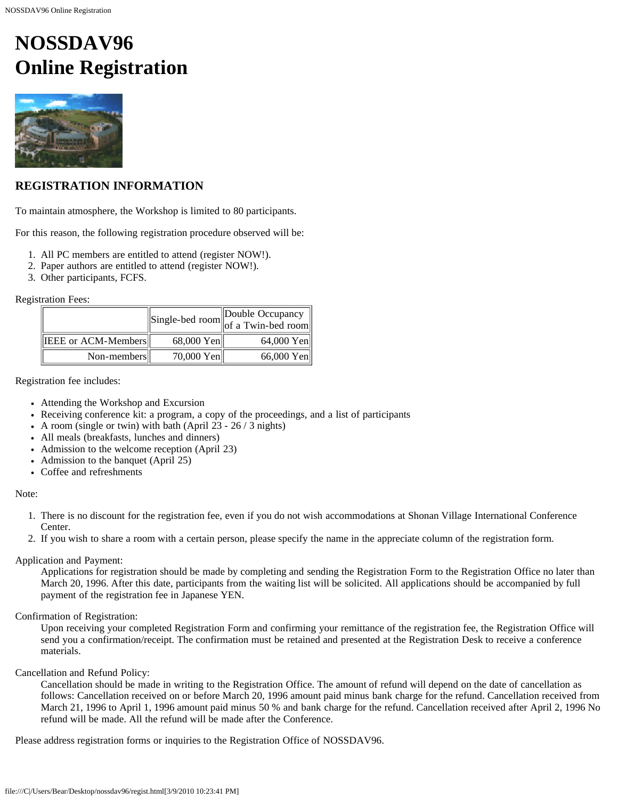# <span id="page-7-0"></span>**NOSSDAV96 Online Registration**



#### **REGISTRATION INFORMATION**

To maintain atmosphere, the Workshop is limited to 80 participants.

For this reason, the following registration procedure observed will be:

- 1. All PC members are entitled to attend (register NOW!).
- 2. Paper authors are entitled to attend (register NOW!).
- 3. Other participants, FCFS.

Registration Fees:

|                            |            | $\left\  \text{Single-bed room} \right\ $ Double Occupancy of a Twin-bed room |
|----------------------------|------------|-------------------------------------------------------------------------------|
| <b>IEEE or ACM-Members</b> | 68,000 Yen | 64,000 Yen                                                                    |
| Non-members                | 70,000 Yen | 66,000 Yen                                                                    |

Registration fee includes:

- Attending the Workshop and Excursion
- Receiving conference kit: a program, a copy of the proceedings, and a list of participants
- A room (single or twin) with bath (April 23  $26/3$  nights)
- All meals (breakfasts, lunches and dinners)
- Admission to the welcome reception (April 23)
- Admission to the banquet (April 25)
- Coffee and refreshments

#### Note:

- 1. There is no discount for the registration fee, even if you do not wish accommodations at Shonan Village International Conference Center.
- 2. If you wish to share a room with a certain person, please specify the name in the appreciate column of the registration form.

#### Application and Payment:

Applications for registration should be made by completing and sending the Registration Form to the Registration Office no later than March 20, 1996. After this date, participants from the waiting list will be solicited. All applications should be accompanied by full payment of the registration fee in Japanese YEN.

#### Confirmation of Registration:

Upon receiving your completed Registration Form and confirming your remittance of the registration fee, the Registration Office will send you a confirmation/receipt. The confirmation must be retained and presented at the Registration Desk to receive a conference materials.

#### Cancellation and Refund Policy:

Cancellation should be made in writing to the Registration Office. The amount of refund will depend on the date of cancellation as follows: Cancellation received on or before March 20, 1996 amount paid minus bank charge for the refund. Cancellation received from March 21, 1996 to April 1, 1996 amount paid minus 50 % and bank charge for the refund. Cancellation received after April 2, 1996 No refund will be made. All the refund will be made after the Conference.

Please address registration forms or inquiries to the Registration Office of NOSSDAV96.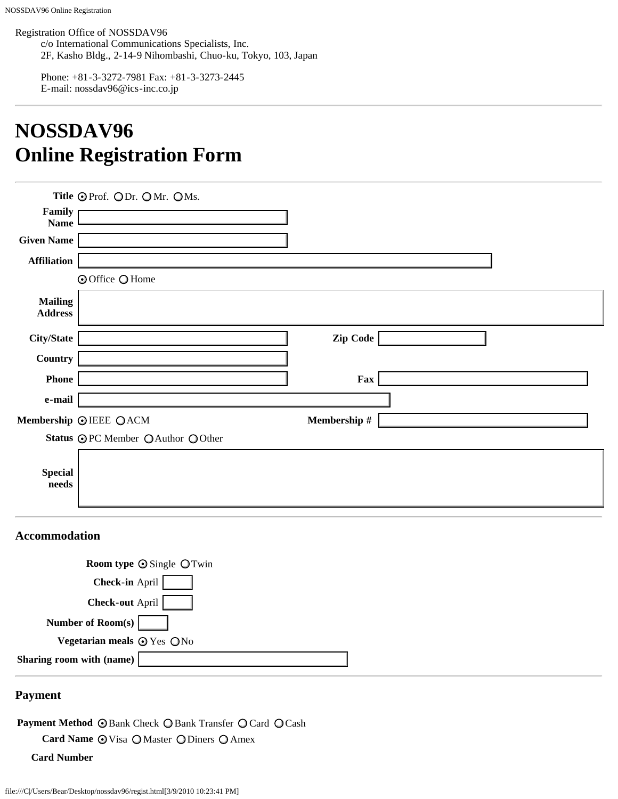Registration Office of NOSSDAV96

c/o International Communications Specialists, Inc. 2F, Kasho Bldg., 2-14-9 Nihombashi, Chuo-ku, Tokyo, 103, Japan

Phone: +81-3-3272-7981 Fax: +81-3-3273-2445 E-mail: nossdav96@ics-inc.co.jp

# **NOSSDAV96 Online Registration Form**

|                                                          | Title OProf. ODr. OMr. OMs.      |              |  |
|----------------------------------------------------------|----------------------------------|--------------|--|
| Family<br><b>Name</b>                                    |                                  |              |  |
| <b>Given Name</b>                                        |                                  |              |  |
| <b>Affiliation</b>                                       |                                  |              |  |
|                                                          | <b>⊙</b> Office ○ Home           |              |  |
| <b>Mailing</b><br><b>Address</b>                         |                                  |              |  |
| City/State                                               |                                  | Zip Code     |  |
| <b>Country</b>                                           |                                  |              |  |
| <b>Phone</b>                                             |                                  | Fax          |  |
| e-mail                                                   |                                  |              |  |
|                                                          | Membership @IEEE QACM            | Membership # |  |
|                                                          | Status OPC Member OAuthor OOther |              |  |
| <b>Special</b><br>$\boldsymbol{\mathop{\textbf{needs}}}$ |                                  |              |  |
|                                                          |                                  |              |  |

#### **Accommodation**

| <b>Room type <math>\odot</math> Single <math>\odot</math> Twin</b> |  |
|--------------------------------------------------------------------|--|
| <b>Check-in April</b>                                              |  |
| <b>Check-out April</b>                                             |  |
| Number of Room(s)                                                  |  |
| Vegetarian meals $\odot$ Yes ONo                                   |  |
| Sharing room with (name)                                           |  |
|                                                                    |  |

#### **Payment**

Payment Method © Bank Check O Bank Transfer O Card O Cash

Card Name  $\odot$  Visa O Master O Diners O Amex

**Card Number**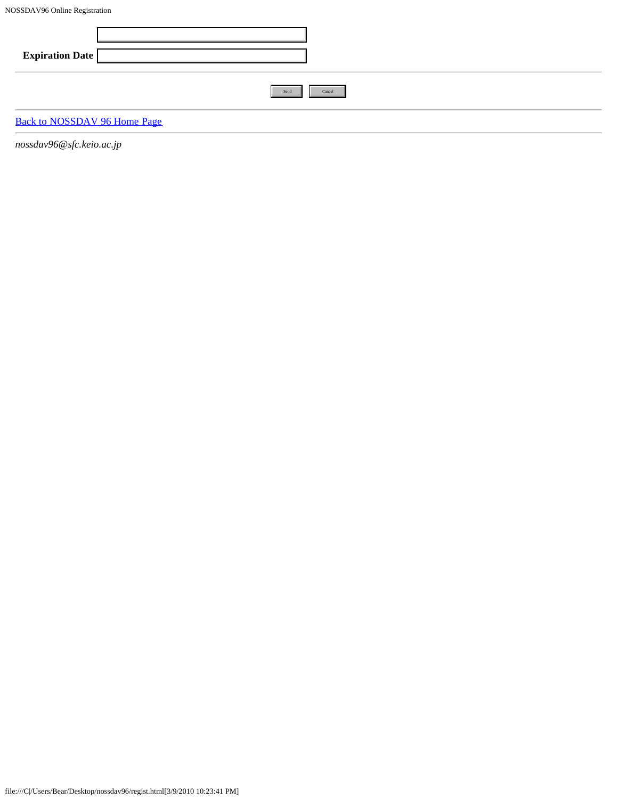| <b>Expiration Date</b>              |        |
|-------------------------------------|--------|
| Send                                | Cancel |
| <b>Back to NOSSDAV 96 Home Page</b> |        |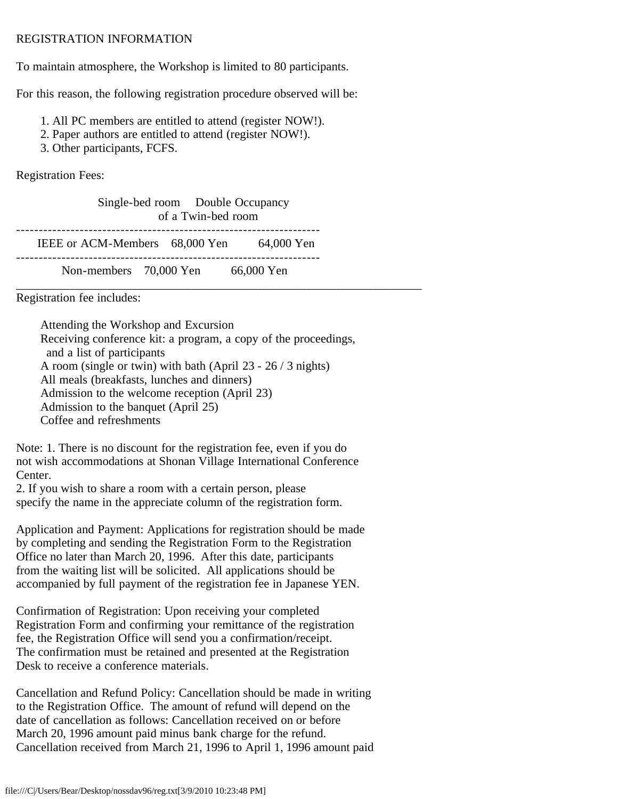#### <span id="page-10-0"></span>REGISTRATION INFORMATION

To maintain atmosphere, the Workshop is limited to 80 participants.

For this reason, the following registration procedure observed will be:

- 1. All PC members are entitled to attend (register NOW!).
- 2. Paper authors are entitled to attend (register NOW!).
- 3. Other participants, FCFS.

Registration Fees:

| Single-bed room Double Occupancy<br>of a Twin-bed room |  |            |  |
|--------------------------------------------------------|--|------------|--|
| IEEE or ACM-Members 68,000 Yen                         |  | 64,000 Yen |  |
| Non-members 70,000 Yen                                 |  | 66,000 Yen |  |

Registration fee includes:

 Attending the Workshop and Excursion Receiving conference kit: a program, a copy of the proceedings, and a list of participants A room (single or twin) with bath (April 23 - 26 / 3 nights) All meals (breakfasts, lunches and dinners) Admission to the welcome reception (April 23) Admission to the banquet (April 25) Coffee and refreshments

Note: 1. There is no discount for the registration fee, even if you do not wish accommodations at Shonan Village International Conference Center.

2. If you wish to share a room with a certain person, please specify the name in the appreciate column of the registration form.

Application and Payment: Applications for registration should be made by completing and sending the Registration Form to the Registration Office no later than March 20, 1996. After this date, participants from the waiting list will be solicited. All applications should be accompanied by full payment of the registration fee in Japanese YEN.

Confirmation of Registration: Upon receiving your completed Registration Form and confirming your remittance of the registration fee, the Registration Office will send you a confirmation/receipt. The confirmation must be retained and presented at the Registration Desk to receive a conference materials.

Cancellation and Refund Policy: Cancellation should be made in writing to the Registration Office. The amount of refund will depend on the date of cancellation as follows: Cancellation received on or before March 20, 1996 amount paid minus bank charge for the refund. Cancellation received from March 21, 1996 to April 1, 1996 amount paid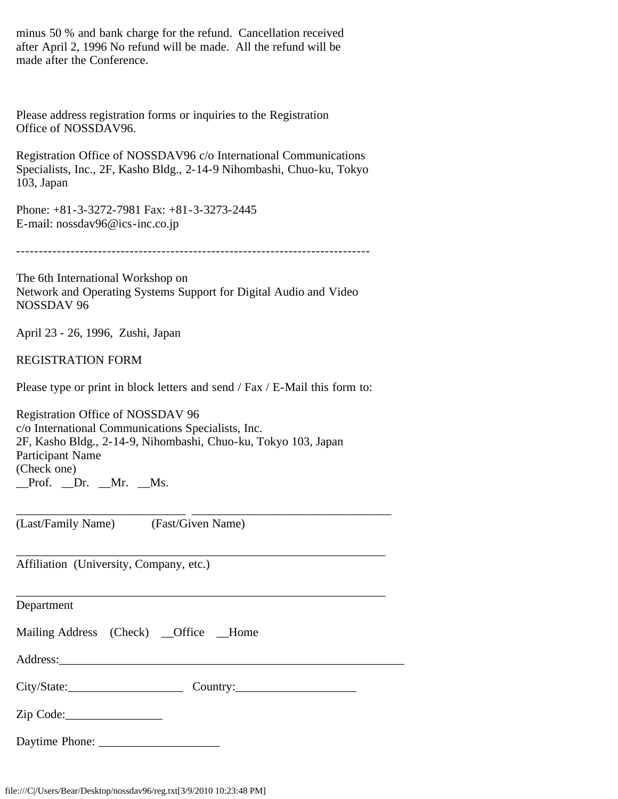minus 50 % and bank charge for the refund. Cancellation received after April 2, 1996 No refund will be made. All the refund will be made after the Conference.

Please address registration forms or inquiries to the Registration Office of NOSSDAV96.

Registration Office of NOSSDAV96 c/o International Communications Specialists, Inc., 2F, Kasho Bldg., 2-14-9 Nihombashi, Chuo-ku, Tokyo 103, Japan

Phone: +81-3-3272-7981 Fax: +81-3-3273-2445 E-mail: nossdav96@ics-inc.co.jp

------------------------------------------------------------------------------

The 6th International Workshop on Network and Operating Systems Support for Digital Audio and Video NOSSDAV 96

April 23 - 26, 1996, Zushi, Japan

REGISTRATION FORM

Please type or print in block letters and send / Fax / E-Mail this form to:

\_\_\_\_\_\_\_\_\_\_\_\_\_\_\_\_\_\_\_\_\_\_\_\_\_\_\_\_ \_\_\_\_\_\_\_\_\_\_\_\_\_\_\_\_\_\_\_\_\_\_\_\_\_\_\_\_\_\_\_\_\_

\_\_\_\_\_\_\_\_\_\_\_\_\_\_\_\_\_\_\_\_\_\_\_\_\_\_\_\_\_\_\_\_\_\_\_\_\_\_\_\_\_\_\_\_\_\_\_\_\_\_\_\_\_\_\_\_\_\_\_\_\_

Registration Office of NOSSDAV 96 c/o International Communications Specialists, Inc. 2F, Kasho Bldg., 2-14-9, Nihombashi, Chuo-ku, Tokyo 103, Japan Participant Name (Check one)  $\Box$ Prof.  $\Box$ Dr.  $\Box$ Mr.  $\Box$ Ms.

(Last/Family Name) (Fast/Given Name)

Affiliation (University, Company, etc.)

\_\_\_\_\_\_\_\_\_\_\_\_\_\_\_\_\_\_\_\_\_\_\_\_\_\_\_\_\_\_\_\_\_\_\_\_\_\_\_\_\_\_\_\_\_\_\_\_\_\_\_\_\_\_\_\_\_\_\_\_\_ Department Mailing Address (Check) \_Office \_Home Address: City/State:\_\_\_\_\_\_\_\_\_\_\_\_\_\_\_\_\_\_\_ Country:\_\_\_\_\_\_\_\_\_\_\_\_\_\_\_\_\_\_\_\_  $Zip Code:$ 

Daytime Phone: \_\_\_\_\_\_\_\_\_\_\_\_\_\_\_\_\_\_\_\_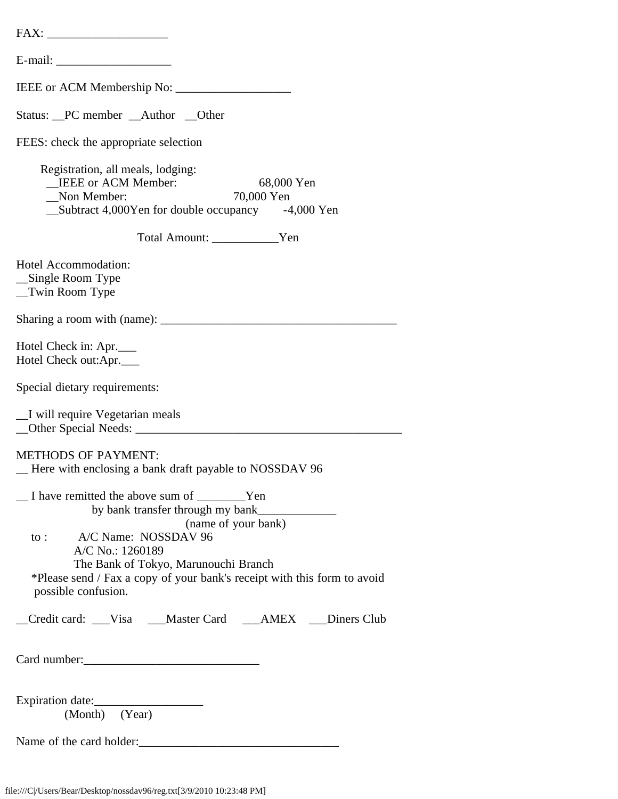| Status: _PC member _Author _Other                                                                                                                               |
|-----------------------------------------------------------------------------------------------------------------------------------------------------------------|
| FEES: check the appropriate selection                                                                                                                           |
| Registration, all meals, lodging:<br><b>IEEE</b> or ACM Member:<br>68,000 Yen<br>Non Member:<br>70,000 Yen<br>Subtract 4,000Yen for double occupancy -4,000 Yen |
| Total Amount: Ven                                                                                                                                               |
| Hotel Accommodation:<br>__Single Room Type<br>_Twin Room Type                                                                                                   |
|                                                                                                                                                                 |
| Hotel Check in: Apr.<br>Hotel Check out:Apr.                                                                                                                    |
| Special dietary requirements:                                                                                                                                   |
| _I will require Vegetarian meals                                                                                                                                |
| <b>METHODS OF PAYMENT:</b><br>Here with enclosing a bank draft payable to NOSSDAV 96                                                                            |
| I have remitted the above sum of _________Yen<br>(name of your bank)<br>to: A/C Name: NOSSDAV 96<br>A/C No.: 1260189                                            |
| The Bank of Tokyo, Marunouchi Branch<br>*Please send / Fax a copy of your bank's receipt with this form to avoid<br>possible confusion.                         |
| Credit card: ___Visa ___Master Card ___AMEX ___Diners Club                                                                                                      |
|                                                                                                                                                                 |
| (Month) (Year)                                                                                                                                                  |
| Name of the card holder:                                                                                                                                        |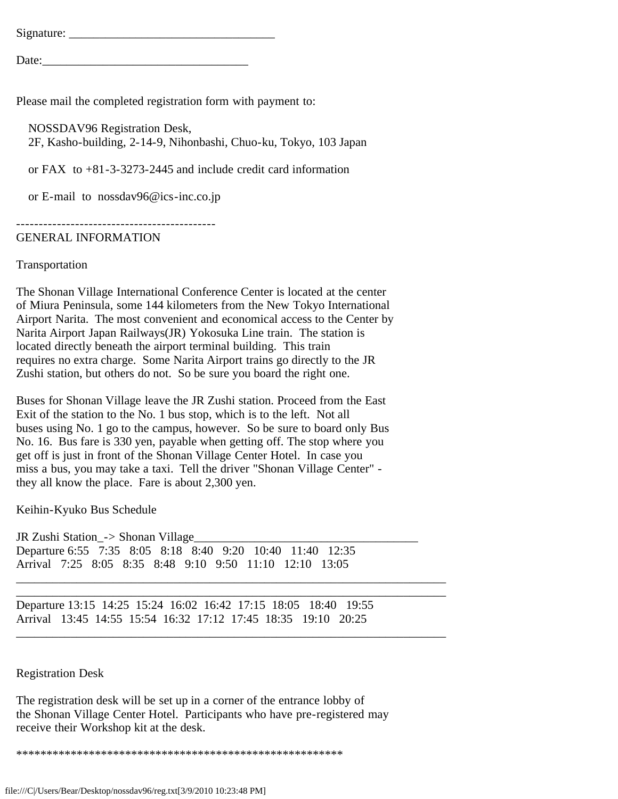| Signature: |  |  |  |
|------------|--|--|--|
|            |  |  |  |
| Date:      |  |  |  |

Please mail the completed registration form with payment to:

 NOSSDAV96 Registration Desk, 2F, Kasho-building, 2-14-9, Nihonbashi, Chuo-ku, Tokyo, 103 Japan

or FAX to +81-3-3273-2445 and include credit card information

or E-mail to nossdav96@ics-inc.co.jp

--------------------------------------------

#### GENERAL INFORMATION

#### Transportation

The Shonan Village International Conference Center is located at the center of Miura Peninsula, some 144 kilometers from the New Tokyo International Airport Narita. The most convenient and economical access to the Center by Narita Airport Japan Railways(JR) Yokosuka Line train. The station is located directly beneath the airport terminal building. This train requires no extra charge. Some Narita Airport trains go directly to the JR Zushi station, but others do not. So be sure you board the right one.

Buses for Shonan Village leave the JR Zushi station. Proceed from the East Exit of the station to the No. 1 bus stop, which is to the left. Not all buses using No. 1 go to the campus, however. So be sure to board only Bus No. 16. Bus fare is 330 yen, payable when getting off. The stop where you get off is just in front of the Shonan Village Center Hotel. In case you miss a bus, you may take a taxi. Tell the driver "Shonan Village Center" they all know the place. Fare is about 2,300 yen.

Keihin-Kyuko Bus Schedule

JR Zushi Station\_-> Shonan Village\_\_\_\_\_\_\_\_\_\_\_\_\_\_\_\_\_\_\_\_\_\_\_\_\_\_\_\_\_\_\_\_\_\_\_\_\_ Departure 6:55 7:35 8:05 8:18 8:40 9:20 10:40 11:40 12:35 Arrival 7:25 8:05 8:35 8:48 9:10 9:50 11:10 12:10 13:05

Departure 13:15 14:25 15:24 16:02 16:42 17:15 18:05 18:40 19:55 Arrival 13:45 14:55 15:54 16:32 17:12 17:45 18:35 19:10 20:25

\_\_\_\_\_\_\_\_\_\_\_\_\_\_\_\_\_\_\_\_\_\_\_\_\_\_\_\_\_\_\_\_\_\_\_\_\_\_\_\_\_\_\_\_\_\_\_\_\_\_\_\_\_\_\_\_\_\_\_\_\_\_\_\_\_\_\_\_\_\_\_ \_\_\_\_\_\_\_\_\_\_\_\_\_\_\_\_\_\_\_\_\_\_\_\_\_\_\_\_\_\_\_\_\_\_\_\_\_\_\_\_\_\_\_\_\_\_\_\_\_\_\_\_\_\_\_\_\_\_\_\_\_\_\_\_\_\_\_\_\_\_\_

\_\_\_\_\_\_\_\_\_\_\_\_\_\_\_\_\_\_\_\_\_\_\_\_\_\_\_\_\_\_\_\_\_\_\_\_\_\_\_\_\_\_\_\_\_\_\_\_\_\_\_\_\_\_\_\_\_\_\_\_\_\_\_\_\_\_\_\_\_\_\_

Registration Desk

The registration desk will be set up in a corner of the entrance lobby of the Shonan Village Center Hotel. Participants who have pre-registered may receive their Workshop kit at the desk.

\*\*\*\*\*\*\*\*\*\*\*\*\*\*\*\*\*\*\*\*\*\*\*\*\*\*\*\*\*\*\*\*\*\*\*\*\*\*\*\*\*\*\*\*\*\*\*\*\*\*\*\*\*\*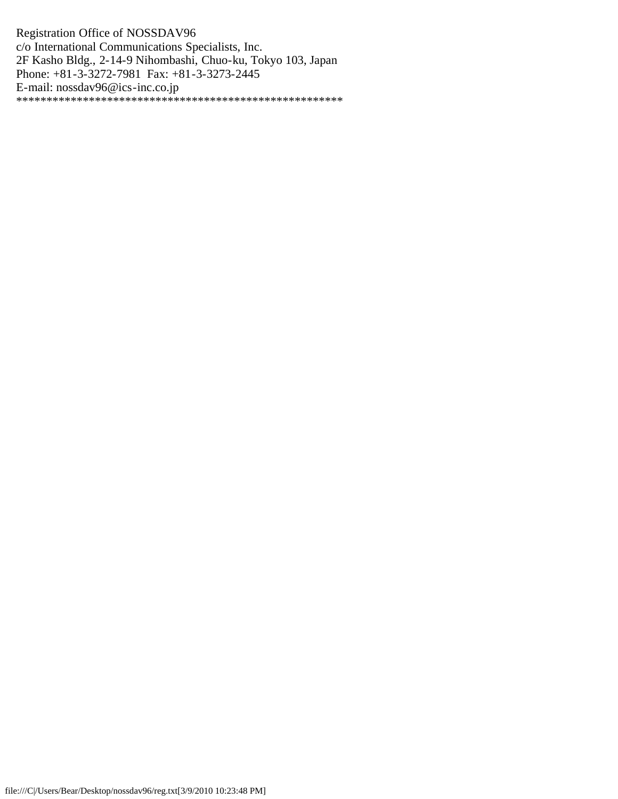Registration Office of NOSSDAV96 c/o International Communications Specialists, Inc. 2F Kasho Bldg., 2-14-9 Nihombashi, Chuo-ku, Tokyo 103, Japan Phone: +81-3-3272-7981 Fax: +81-3-3273-2445 E-mail: nossdav96@ics-inc.co.jp \*\*\*\*\*\*\*\*\*\*\*\*\*\*\*\*\*\*\*\*\*\*\*\*\*\*\*\*\*\*\*\*\*\*\*\*\*\*\*\*\*\*\*\*\*\*\*\*\*\*\*\*\*\*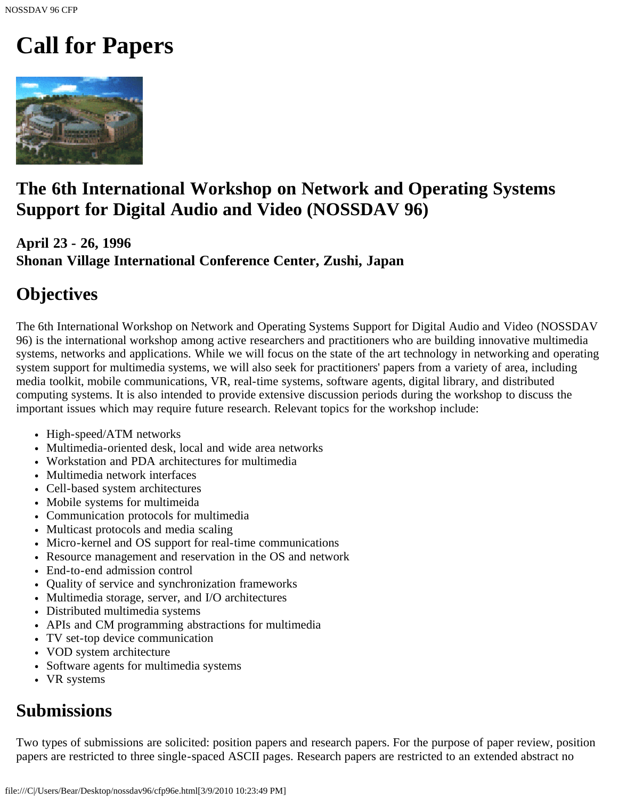# <span id="page-15-0"></span>**Call for Papers**



# **The 6th International Workshop on Network and Operating Systems Support for Digital Audio and Video (NOSSDAV 96)**

# **April 23 - 26, 1996 Shonan Village International Conference Center, Zushi, Japan**

# **Objectives**

The 6th International Workshop on Network and Operating Systems Support for Digital Audio and Video (NOSSDAV 96) is the international workshop among active researchers and practitioners who are building innovative multimedia systems, networks and applications. While we will focus on the state of the art technology in networking and operating system support for multimedia systems, we will also seek for practitioners' papers from a variety of area, including media toolkit, mobile communications, VR, real-time systems, software agents, digital library, and distributed computing systems. It is also intended to provide extensive discussion periods during the workshop to discuss the important issues which may require future research. Relevant topics for the workshop include:

- High-speed/ATM networks
- Multimedia-oriented desk, local and wide area networks
- Workstation and PDA architectures for multimedia
- Multimedia network interfaces
- Cell-based system architectures
- Mobile systems for multimeida
- Communication protocols for multimedia
- Multicast protocols and media scaling
- Micro-kernel and OS support for real-time communications
- Resource management and reservation in the OS and network
- End-to-end admission control
- Quality of service and synchronization frameworks
- Multimedia storage, server, and I/O architectures
- Distributed multimedia systems
- APIs and CM programming abstractions for multimedia
- TV set-top device communication
- VOD system architecture
- Software agents for multimedia systems
- VR systems

# **Submissions**

Two types of submissions are solicited: position papers and research papers. For the purpose of paper review, position papers are restricted to three single-spaced ASCII pages. Research papers are restricted to an extended abstract no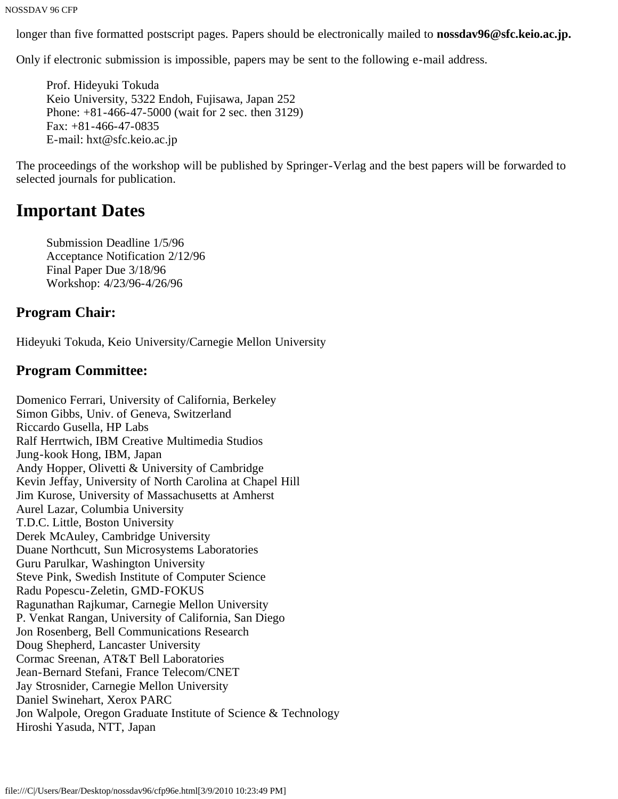NOSSDAV 96 CFP

longer than five formatted postscript pages. Papers should be electronically mailed to **nossdav96@sfc.keio.ac.jp.**

Only if electronic submission is impossible, papers may be sent to the following e-mail address.

Prof. Hideyuki Tokuda Keio University, 5322 Endoh, Fujisawa, Japan 252 Phone: +81-466-47-5000 (wait for 2 sec. then 3129) Fax: +81-466-47-0835 E-mail: hxt@sfc.keio.ac.jp

The proceedings of the workshop will be published by Springer-Verlag and the best papers will be forwarded to selected journals for publication.

# **Important Dates**

Submission Deadline 1/5/96 Acceptance Notification 2/12/96 Final Paper Due 3/18/96 Workshop: 4/23/96-4/26/96

## **Program Chair:**

Hideyuki Tokuda, Keio University/Carnegie Mellon University

## **Program Committee:**

Domenico Ferrari, University of California, Berkeley Simon Gibbs, Univ. of Geneva, Switzerland Riccardo Gusella, HP Labs Ralf Herrtwich, IBM Creative Multimedia Studios Jung-kook Hong, IBM, Japan Andy Hopper, Olivetti & University of Cambridge Kevin Jeffay, University of North Carolina at Chapel Hill Jim Kurose, University of Massachusetts at Amherst Aurel Lazar, Columbia University T.D.C. Little, Boston University Derek McAuley, Cambridge University Duane Northcutt, Sun Microsystems Laboratories Guru Parulkar, Washington University Steve Pink, Swedish Institute of Computer Science Radu Popescu-Zeletin, GMD-FOKUS Ragunathan Rajkumar, Carnegie Mellon University P. Venkat Rangan, University of California, San Diego Jon Rosenberg, Bell Communications Research Doug Shepherd, Lancaster University Cormac Sreenan, AT&T Bell Laboratories Jean-Bernard Stefani, France Telecom/CNET Jay Strosnider, Carnegie Mellon University Daniel Swinehart, Xerox PARC Jon Walpole, Oregon Graduate Institute of Science & Technology Hiroshi Yasuda, NTT, Japan